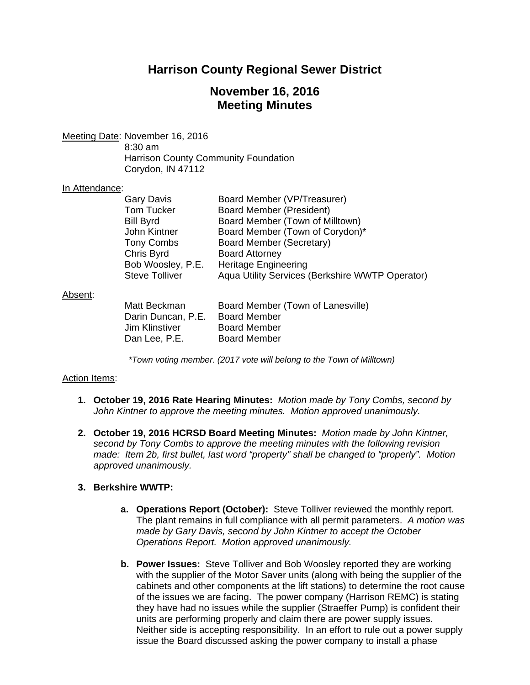# **Harrison County Regional Sewer District**

# **November 16, 2016 Meeting Minutes**

Meeting Date: November 16, 2016

 8:30 am Harrison County Community Foundation Corydon, IN 47112

#### In Attendance:

| <b>Gary Davis</b>     | Board Member (VP/Treasurer)                     |
|-----------------------|-------------------------------------------------|
| <b>Tom Tucker</b>     | <b>Board Member (President)</b>                 |
| <b>Bill Byrd</b>      | Board Member (Town of Milltown)                 |
| John Kintner          | Board Member (Town of Corydon)*                 |
| <b>Tony Combs</b>     | Board Member (Secretary)                        |
| Chris Byrd            | <b>Board Attorney</b>                           |
| Bob Woosley, P.E.     | <b>Heritage Engineering</b>                     |
| <b>Steve Tolliver</b> | Aqua Utility Services (Berkshire WWTP Operator) |

#### Absent:

| Matt Beckman       | Board Member (Town of Lanesville) |
|--------------------|-----------------------------------|
| Darin Duncan, P.E. | <b>Board Member</b>               |
| Jim Klinstiver     | <b>Board Member</b>               |
| Dan Lee, P.E.      | <b>Board Member</b>               |

*\*Town voting member. (2017 vote will belong to the Town of Milltown)* 

## Action Items:

- **1. October 19, 2016 Rate Hearing Minutes:** *Motion made by Tony Combs, second by John Kintner to approve the meeting minutes. Motion approved unanimously.*
- **2. October 19, 2016 HCRSD Board Meeting Minutes:** *Motion made by John Kintner, second by Tony Combs to approve the meeting minutes with the following revision made: Item 2b, first bullet, last word "property" shall be changed to "properly". Motion approved unanimously.*

## **3. Berkshire WWTP:**

- **a. Operations Report (October):** Steve Tolliver reviewed the monthly report. The plant remains in full compliance with all permit parameters. *A motion was made by Gary Davis, second by John Kintner to accept the October Operations Report. Motion approved unanimously.*
- **b. Power Issues:** Steve Tolliver and Bob Woosley reported they are working with the supplier of the Motor Saver units (along with being the supplier of the cabinets and other components at the lift stations) to determine the root cause of the issues we are facing. The power company (Harrison REMC) is stating they have had no issues while the supplier (Straeffer Pump) is confident their units are performing properly and claim there are power supply issues. Neither side is accepting responsibility. In an effort to rule out a power supply issue the Board discussed asking the power company to install a phase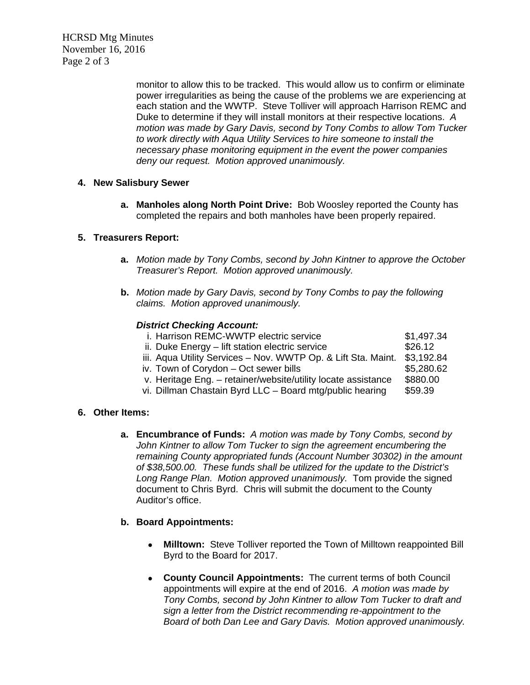HCRSD Mtg Minutes November 16, 2016 Page 2 of 3

> monitor to allow this to be tracked. This would allow us to confirm or eliminate power irregularities as being the cause of the problems we are experiencing at each station and the WWTP. Steve Tolliver will approach Harrison REMC and Duke to determine if they will install monitors at their respective locations. *A motion was made by Gary Davis, second by Tony Combs to allow Tom Tucker to work directly with Aqua Utility Services to hire someone to install the necessary phase monitoring equipment in the event the power companies deny our request. Motion approved unanimously.*

#### **4. New Salisbury Sewer**

**a. Manholes along North Point Drive:** Bob Woosley reported the County has completed the repairs and both manholes have been properly repaired.

## **5. Treasurers Report:**

- **a.** *Motion made by Tony Combs, second by John Kintner to approve the October Treasurer's Report. Motion approved unanimously.*
- **b.** *Motion made by Gary Davis, second by Tony Combs to pay the following claims. Motion approved unanimously.*

#### *District Checking Account:*

| i. Harrison REMC-WWTP electric service                        | \$1,497.34 |
|---------------------------------------------------------------|------------|
| ii. Duke Energy - lift station electric service               | \$26.12    |
| iii. Aqua Utility Services - Nov. WWTP Op. & Lift Sta. Maint. | \$3,192.84 |
| iv. Town of Corydon - Oct sewer bills                         | \$5,280.62 |
| v. Heritage Eng. - retainer/website/utility locate assistance | \$880.00   |
| vi. Dillman Chastain Byrd LLC - Board mtg/public hearing      | \$59.39    |
|                                                               |            |

## **6. Other Items:**

**a. Encumbrance of Funds:** *A motion was made by Tony Combs, second by John Kintner to allow Tom Tucker to sign the agreement encumbering the remaining County appropriated funds (Account Number 30302) in the amount of \$38,500.00. These funds shall be utilized for the update to the District's Long Range Plan. Motion approved unanimously.* Tom provide the signed document to Chris Byrd. Chris will submit the document to the County Auditor's office.

## **b. Board Appointments:**

- **Milltown:** Steve Tolliver reported the Town of Milltown reappointed Bill Byrd to the Board for 2017.
- **County Council Appointments:** The current terms of both Council appointments will expire at the end of 2016. *A motion was made by Tony Combs, second by John Kintner to allow Tom Tucker to draft and sign a letter from the District recommending re-appointment to the Board of both Dan Lee and Gary Davis. Motion approved unanimously.*